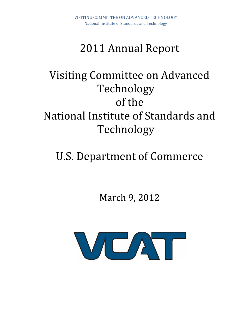# 2011 Annual Report

# Visiting Committee on Advanced Technology of the National Institute of Standards and Technology

# U.S. Department of Commerce

March 9, 2012

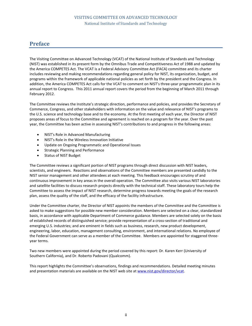# **Preface**

The Visiting Committee on Advanced Technology (VCAT) of the National Institute of Standards and Technology (NIST) was established in its present form by the Omnibus Trade and Competitiveness Act of 1988 and updated by the America COMPETES Act. The VCAT is a Federal Advisory Committee Act (FACA) committee and its charter includes reviewing and making recommendations regarding general policy for NIST, its organization, budget, and programs within the framework of applicable national policies as set forth by the president and the Congress. In addition, the America COMPETES Act calls for the VCAT to comment on NIST's three-year programmatic plan in its annual report to Congress. This 2011 annual report covers the period from the beginning of March 2011 through February 2012.

The Committee reviews the Institute's strategic direction, performance and policies, and provides the Secretary of Commerce, Congress, and other stakeholders with information on the value and relevance of NIST's programs to the U.S. science and technology base and to the economy. At the first meeting of each year, the Director of NIST proposes areas of focus to the Committee and agreement is reached on a program for the year. Over the past year, the Committee has been active in assessing NIST's contributions to and progress in the following areas:

- NIST's Role in Advanced Manufacturing
- NIST's Role in the Wireless Innovation Initiative
- Update on Ongoing Programmatic and Operational Issues
- Strategic Planning and Performance
- Status of NIST Budget

The Committee reviews a significant portion of NIST programs through direct discussion with NIST leaders, scientists, and engineers. Reactions and observations of the Committee members are presented candidly to the NIST senior management and other attendees at each meeting. This feedback encourages scrutiny of and continuous improvement in key areas in the overall operation. The Committee also visits various NIST laboratories and satellite facilities to discuss research projects directly with the technical staff. These laboratory tours help the Committee to assess the impact of NIST research, determine progress towards meeting the goals of the research plan, assess the quality of the staff, and the efficacy of the facility infrastructure.

Under the Committee charter, the Director of NIST appoints the members of the Committee and the Committee is asked to make suggestions for possible new member consideration. Members are selected on a clear, standardized basis, in accordance with applicable Department of Commerce guidance. Members are selected solely on the basis of established records of distinguished service; provide representation of a cross-section of traditional and emerging U.S. industries; and are eminent in fields such as business, research, new product development, engineering, labor, education, management consulting, environment, and international relations. No employee of the Federal Government can serve as a member of the Committee. Members are appointed for staggered threeyear terms.

Two new members were appointed during the period covered by this report: Dr. Karen Kerr (University of Southern California), and Dr. Roberto Padovani (Qualcomm).

This report highlights the Committee's observations, findings and recommendations. Detailed meeting minutes and presentation materials are available on the NIST web site at [www.nist.gov/director/vcat.](http://www.nist.gov/director/vcat)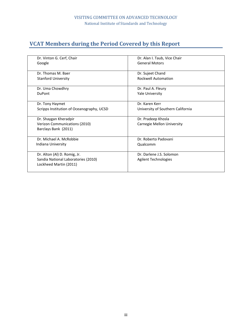# **VCAT Members during the Period Covered by this Report**

| Dr. Vinton G. Cerf, Chair                 | Dr. Alan I. Taub, Vice Chair      |  |  |  |
|-------------------------------------------|-----------------------------------|--|--|--|
| Google                                    | <b>General Motors</b>             |  |  |  |
|                                           |                                   |  |  |  |
| Dr. Thomas M. Baer                        | Dr. Sujeet Chand                  |  |  |  |
| <b>Stanford University</b>                | <b>Rockwell Automation</b>        |  |  |  |
|                                           |                                   |  |  |  |
| Dr. Uma Chowdhry                          | Dr. Paul A. Fleury                |  |  |  |
| <b>DuPont</b>                             | Yale University                   |  |  |  |
|                                           |                                   |  |  |  |
| Dr. Tony Haymet                           | Dr. Karen Kerr                    |  |  |  |
| Scripps Institution of Oceanography, UCSD | University of Southern California |  |  |  |
|                                           |                                   |  |  |  |
| Dr. Shaygan Kheradpir                     | Dr. Pradeep Khosla                |  |  |  |
| Verizon Communications (2010)             | Carnegie Mellon University        |  |  |  |
| Barclays Bank (2011)                      |                                   |  |  |  |
|                                           |                                   |  |  |  |
| Dr. Michael A. McRobbie                   | Dr. Roberto Padovani              |  |  |  |
| Indiana University                        | Qualcomm                          |  |  |  |
|                                           |                                   |  |  |  |
| Dr. Alton (Al) D. Romig, Jr.              | Dr. Darlene J.S. Solomon          |  |  |  |
| Sandia National Laboratories (2010)       | Agilent Technologies              |  |  |  |
| Lockheed Martin (2011)                    |                                   |  |  |  |
|                                           |                                   |  |  |  |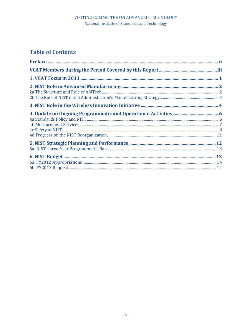# **Table of Contents**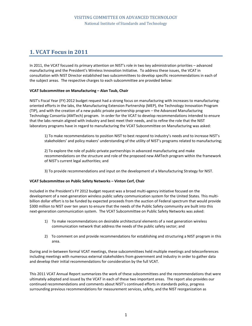# **1. VCAT Focus in 2011**

In 2011, the VCAT focused its primary attention on NIST's role in two key administration priorities *–* advanced manufacturing and the President's Wireless Innovation Initiative. To address these issues, the VCAT in consultation with NIST Director established two subcommittees to develop specific recommendations in each of the subject areas. The respective charges to each subcommittee are provided below:

#### **VCAT Subcommittee on Manufacturing – Alan Taub, Chair**

NIST's Fiscal Year (FY) 2012 budget request had a strong focus on manufacturing with increases to manufacturingoriented efforts in the labs, the Manufacturing Extension Partnership (MEP), the Technology Innovation Program (TIP), and with the creation of a new public private partnership program *–* the Advanced Manufacturing Technology Consortia (AMTech) program. In order for the VCAT to develop recommendations intended to ensure that the labs remain aligned with industry and best meet their needs, and to refine the role that the NIST laboratory programs have in regard to manufacturing the VCAT Subcommittee on Manufacturing was asked:

1) To make recommendations to position NIST to best respond to industry's needs and to increase NIST's stakeholders' and policy makers' understanding of the utility of NIST's programs related to manufacturing;

2) To explore the role of public-private partnerships in advanced manufacturing and make recommendations on the structure and role of the proposed new AMTech program within the framework of NIST's current legal authorities; and

3) To provide recommendations and input on the development of a Manufacturing Strategy for NIST.

#### **VCAT Subcommittee on Public Safety Networks – Vinton Cerf, Chair**

Included in the President's FY 2012 budget request was a broad multi-agency initiative focused on the development of a next-generation wireless public safety communication system for the United States. This multibillion dollar effort is to be funded by expected proceeds from the auction of Federal spectrum that would provide \$300 million to NIST over ten years to ensure that the needs of the Public Safety community are built into this next-generation communication system. The VCAT Subcommittee on Public Safety Networks was asked:

- 1) To make recommendations on desirable architectural elements of a next generation wireless communication network that address the needs of the public safety sector; and
- 2) To comment on and provide recommendations for establishing and structuring a NIST program in this area.

During and in-between formal VCAT meetings, these subcommittees held multiple meetings and teleconferences including meetings with numerous external stakeholders from government and industry in order to gather data and develop their initial recommendations for consideration by the full VCAT.

This 2011 VCAT Annual Report summarizes the work of these subcommittees and the recommendations that were ultimately adopted and issued by the VCAT in each of these two important areas. The report also provides our continued recommendations and comments about NIST's continued efforts in standards policy, progress surrounding previous recommendations for measurement services, safety, and the NIST reorganization as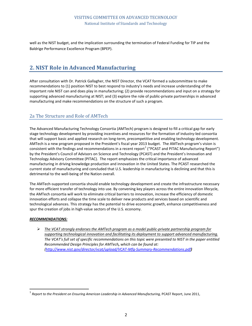well as the NIST budget, and the implication surrounding the termination of Federal Funding for TIP and the Baldrige Performance Excellence Program (BPEP).

# **2. NIST Role in Advanced Manufacturing**

After consultation with Dr. Patrick Gallagher, the NIST Director, the VCAT formed a subcommittee to make recommendations to (1) position NIST to best respond to industry's needs and increase understanding of the important role NIST can and does play in manufacturing; (2) provide recommendations and input on a strategy for supporting advanced manufacturing at NIST; and (3) explore the role of public-private partnerships in advanced manufacturing and make recommendations on the structure of such a program.

# 2a The Structure and Role of AMTech

The Advanced Manufacturing Technology Consortia (AMTech) program is designed to fill a critical gap for early stage technology development by providing incentives and resources for the formation of industry-led consortia that will support basic and applied research on long-term, precompetitive and enabling technology development. AMTech is a new program proposed in the President's fiscal year 2013 budget. The AMTech program's vision is consistent with the findings and recommendations in a recent report<sup>[1](#page-5-0)</sup> ("PCAST and PITAC Manufacturing Report") by the President's Council of Advisors on Science and Technology (PCAST) and the President's Innovation and Technology Advisory Committee (PITAC). The report emphasizes the critical importance of advanced manufacturing in driving knowledge production and innovation in the United States. The PCAST researched the current state of manufacturing and concluded that U.S. leadership in manufacturing is declining and that this is detrimental to the well-being of the Nation overall.

The AMTech-supported consortia should enable technology development and create the infrastructure necessary for more efficient transfer of technology into use. By convening key players across the entire innovation lifecycle, the AMTech consortia will work to eliminate critical barriers to innovation, increase the efficiency of domestic innovation efforts and collapse the time scale to deliver new products and services based on scientific and technological advances. This strategy has the potential to drive economic growth, enhance competitiveness and spur the creation of jobs in high-value sectors of the U.S. economy.

#### *RECOMMENDATIONS:*

 *The VCAT strongly endorses the AMTech program as a model public-private partnership program for supporting technological innovation and facilitating its deployment to support advanced manufacturing. The VCAT's full set of specific recommendations on this topic were presented to NIST in the paper entitled Recommended Design Principles for AMTech, which can be found at: [\(http://www.nist.gov/director/vcat/upload/VCAT-Mfg-Summary-Recommendations.pdf](http://www.nist.gov/director/vcat/upload/VCAT-Mfg-Summary-Recommendations.pdf))* 

<span id="page-5-0"></span> <sup>1</sup> *Report to the President on Ensuring American Leadership in Advanced Manufacturing,* PCAST Report, June 2011,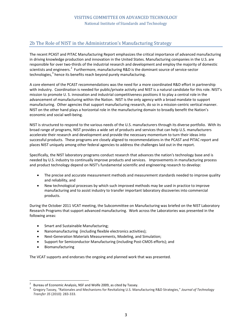# 2b The Role of NIST in the Administration's Manufacturing Strategy

The recent PCAST and PITAC Manufacturing Report emphasizes the critical importance of advanced manufacturing in driving knowledge production and innovation in the United States. Manufacturing companies in the U.S. are responsible for over two-thirds of the industrial research and development and employ the majority of domestic scientists and engineers.<sup>[2](#page-6-0)</sup> Furthermore, manufacturing R&D is the dominant source of service-sector technologies, $3$  hence its benefits reach beyond purely manufacturing.

A core element of the PCAST recommendations was the need for a more coordinated R&D effort in partnership with industry. Coordination is needed for public/private activity and NIST is a natural candidate for this role. NIST's mission to promote U. S. innovation and industrial competitiveness positions it to play a central role in the advancement of manufacturing within the Nation. NIST is the only agency with a broad mandate to support manufacturing. Other agencies that support manufacturing research, do so in a mission-centric vertical manner. NIST on the other hand plays a horizontal role in the manufacturing domain to broadly benefit the Nation's economic and social well-being.

NIST is structured to respond to the various needs of the U.S. manufacturers through its diverse portfolio. With its broad range of programs, NIST provides a wide set of products and services that can help U.S. manufacturers accelerate their research and development and provide the necessary momentum to turn their ideas into successful products. These programs are closely aligned to recommendations in the PCAST and PITAC report and places NIST uniquely among other federal agencies to address the challenges laid out in the report.

Specifically, the NIST laboratory programs conduct research that advances the nation's technology base and is needed by U.S. industry to continually improve products and services. Improvements in manufacturing process and product technology depend on NIST's fundamental scientific and engineering research to develop:

- The precise and accurate measurement methods and measurement standards needed to improve quality and reliability, and
- New technological processes by which such improved methods may be used in practice to improve manufacturing and to assist industry to transfer important laboratory discoveries into commercial products.

During the October 2011 VCAT meeting, the Subcommittee on Manufacturing was briefed on the NIST Laboratory Research Programs that support advanced manufacturing. Work across the Laboratories was presented in the following areas:

- Smart and Sustainable Manufacturing;
- Nanomanufacturing (including flexible electronics activities);
- Next-Generation Materials Measurements, Modeling, and Simulation;
- Support for Semiconductor Manufacturing (including Post-CMOS efforts); and
- Biomanufacturing

The VCAT supports and endorses the ongoing and planned work that was presented.

<span id="page-6-1"></span><span id="page-6-0"></span>

Bureau of Economic Analysis, NSF and Wolfe 2009, as cited by Tassey.<br>3 Gregory Tassey, "Rationales and Mechanisms for Revitalizing U.S. Manufacturing R&D Strategies," *Journal of Technology Transfer 35* (2010): 283-333.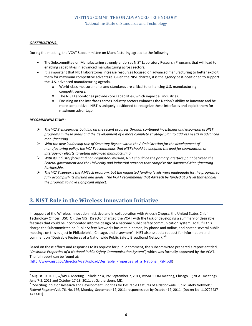#### *OBSERVATIONS:*

During the meeting, the VCAT Subcommittee on Manufacturing agreed to the following:

- The Subcommittee on Manufacturing strongly endorses NIST Laboratory Research Programs that will lead to enabling capabilities in advanced manufacturing across sectors.
- It is important that NIST laboratories increase resources focused on advanced manufacturing to better exploit them for maximum competitive advantage. Given the NIST charter, it is the agency best-positioned to support the U.S. advanced manufacturing agenda.
	- o World-class measurements and standards are critical to enhancing U.S. manufacturing competitiveness.
	- o The NIST Laboratories provide core capabilities, which impact all industries.
	- o Focusing on the interfaces across industry sectors enhances the Nation's ability to innovate and be more competitive. NIST is uniquely positioned to recognize these interfaces and exploit them for maximum advantage.

#### *RECOMMENDATIONS:*

- *The VCAT encourages building on the recent progress through continued investment and expansion of NIST programs in these areas and the development of a more complete strategic plan to address needs in advanced manufacturing.*
- *With the new leadership role of Secretary Bryson within the Administration for the development of manufacturing policy, the VCAT recommends that NIST should be assigned the lead for coordination of interagency efforts targeting advanced manufacturing.*
- *With its industry focus and non-regulatory mission, NIST should be the primary interface point between the Federal government and the University and Industrial partners that comprise the Advanced Manufacturing Partnership.*
- *The VCAT supports the AMTech program, but the requested funding levels were inadequate for the program to fully accomplish its mission and goals. The VCAT recommends that AMTech be funded at a level that enables the program to have significant impact.*

# **3. NIST Role in the Wireless Innovation Initiative**

In support of the Wireless Innovation Initiative and in collaboration with Aneesh Chopra, the United States Chief Technology Officer (USCTO), the NIST Director charged the VCAT with the task of developing a summary of desirable features that could be incorporated into the design of a national public safety communication system. To fulfill this charge the Subcommittee on Public Safety Networks has met in person, by phone and online, and hosted several public meetings on this subject in Philadelphia, Chicago, and elsewhere $^4$  $^4$ . NIST also issued a request for information and comment on "Desirable Features of a Nationwide Public Safety Broadband Network."[5](#page-7-1)

Based on these efforts and responses to its request for public comment, the subcommittee prepared a report entitled, "*Desirable Properties of a National Public Safety Communication System",* which was formally approved by the VCAT. The full report can be found at:

[\(http://www.nist.gov/director/vcat/upload/Desirable\\_Properties\\_of\\_a\\_National\\_PSN.pdf\)](http://www.nist.gov/director/vcat/upload/Desirable_Properties_of_a_National_PSN.pdf)

<span id="page-7-0"></span> $^4$  August 10, 2011, w/APCO Meeting, Philadelphia, PA; September 7, 2011, w/SAFECOM meeting, Chicago, IL; VCAT meetings, June 7-8, 2011 and October 17-18, 2011, at Gaithersburg, MD.

<span id="page-7-1"></span><sup>&</sup>lt;sup>5</sup> "Soliciting Input on Research and Development Priorities for Desirable Features of a Nationwide Public Safety Network," *Federal Register*/Vol. 76, No. 176, Monday, September 12, 2011; responses due by October 12, 2011. [Docket No. 110727437- 1433-01]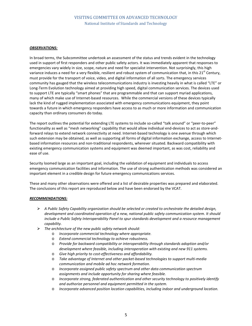#### *OBSERVATIONS:*

In broad terms, the Subcommittee undertook an assessment of the status and trends evident in the technology used in support of first responders and other public safety actors. It was immediately apparent that responses to emergencies vary widely in size, scope, nature and need for specialist intervention. Not surprisingly, this high variance induces a need for a very flexible, resilient and robust system of communication that, in this  $21^{st}$  Century, must provide for the transport of voice, video, and digital information of all sorts. The emergency services community has gauged that the wireless telecommunications industry is investing heavily in what is called "LTE" or Long-Term Evolution technology aimed at providing high speed, digital communication services. The devices used to support LTE are typically "smart phones" that are programmable and that can support myriad applications, many of which make use of Internet-based resources. While the commercial versions of these devices typically lack the kind of rugged implementation associated with emergency communications equipment, they point towards a future in which emergency responders have access to as much or more information and communication capacity than ordinary consumers do today.

The report outlines the potential for extending LTE systems to include so-called "talk around" or "peer-to-peer" functionality as well as "mesh networking" capability that would allow individual end-devices to act as store-andforward relays to extend network connectivity at need. Internet-based technology is one avenue through which such extension may be obtained, as well as supporting all forms of digital information exchange, access to Internetbased information resources and non-traditional respondents, wherever situated. Backward compatibility with existing emergency communication systems and equipment was deemed important, as was cost, reliability and ease of use.

Security loomed large as an important goal, including the validation of equipment and individuals to access emergency communication facilities and information. The use of strong authentication methods was considered an important element in a credible design for future emergency communications services.

These and many other observations were offered and a list of desirable properties was prepared and elaborated. The conclusions of this report are reproduced below and have been endorsed by the VCAT.

#### *RECOMMENDATIONS:*

- *A Public Safety Capability organization should be selected or created to orchestrate the detailed design, development and coordinated operation of a new, national public safety communication system. It should include a Public Safety Interoperability Panel to spur standards development and a resource management capability.*
- *The architecture of the new public safety network should:*
	- o *Incorporate commercial technology where appropriate.*
	- o *Extend commercial technology to achieve robustness.*
	- o *Provide for backward compatibility or interoperability through standards adoption and/or development where feasible, including interoperation with existing and new 911 systems.*
	- o *Give high priority to cost-effectiveness and affordability.*
	- o *Take advantage of Internet and other packet-based technologies to support multi-media communication and mobile ad hoc network formation.*
	- o *Incorporate assigned public safety spectrum and other data communication spectrum assignments and include opportunity for sharing where feasible.*
	- o *Incorporate strong, federated authentication and other security technology to positively identify and authorize personnel and equipment permitted in the system.*
	- o *Incorporate advanced position location capabilities, including indoor and underground location.*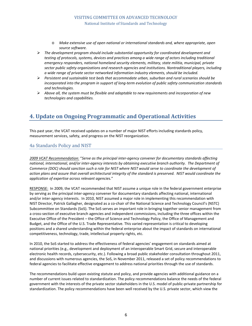- o *Make extensive use of open national or international standards and, where appropriate, open source software.*
- *The development program should include substantial opportunity for coordinated development and testing of protocols, systems, devices and practices among a wide range of actors including traditional emergency responders, national homeland security elements, military, state militia, municipal, private sector public safety organizations and research agencies and institutions. Nontraditional players, including a wide range of private sector networked information industry elements, should be included.*
- *Persistent and sustainable test beds that accommodate urban, suburban and rural scenarios should be incorporated into the program in support of long-term evolution of public safety communication standards and technologies.*
- *Above all, the system must be flexible and adaptable to new requirements and incorporation of new technologies and capabilities.*

# **4. Update on Ongoing Programmatic and Operational Activities**

This past year, the VCAT received updates on a number of major NIST efforts including standards policy, measurement services, safety, and progress on the NIST reorganization.

## 4a Standards Policy and NIST

*2009 VCAT Recommendation:* "*Serve as the principal inter-agency convener for documentary standards affecting national, international, and/or inter-agency interests by obtaining executive branch authority. The Department of Commerce (DOC) should sanction such a role for NIST where NIST would serve to coordinate the development of action plans and assure that overall architectural integrity of the standard is preserved. NIST would coordinate the application of expertise across relevant agencies.*"

RESPONSE: In 2009, the VCAT recommended that NIST assume a unique role in the federal government enterprise by serving as the principal inter-agency convener for documentary standards affecting national, international and/or inter-agency interests. In 2010, NIST assumed a major role in implementing this recommendation with NIST Director, Patrick Gallagher, designated as a co-chair of the National Science and Technology Council's (NSTC) Subcommittee on Standards (SoS). The SoS serves an important role in bringing together senior management from a cross-section of executive branch agencies and independent commissions, including the three offices within the Executive Office of the President *–* the Office of Science and Technology Policy, the Office of Management and Budget, and the Office of the U.S. Trade Representative. This varied representation is critical to developing positions and a shared understanding within the federal enterprise about the impact of standards on international competitiveness, technology, trade, intellectual property rights, etc.

In 2010, the SoS started to address the effectiveness of federal agencies' engagement on standards aimed at national priorities (e.g., development and deployment of an interoperable Smart Grid, secure and interoperable electronic health records, cybersecurity, etc.). Following a broad public stakeholder consultation throughout 2011, and discussions with numerous agencies, the SoS, in November 2011, released a set of policy recommendations to federal agencies to facilitate effective engagement to address national priorities through the use of standards.

The recommendations build upon existing statute and policy, and provide agencies with additional guidance on a number of current issues related to standardization. The policy recommendations balance the needs of the federal government with the interests of the private sector stakeholders in the U.S. model of public-private partnership for standardization. The policy recommendations have been well received by the U.S. private sector, which view the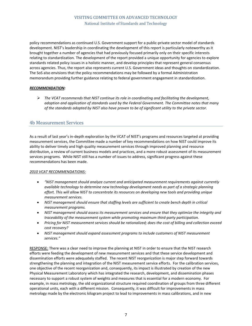policy recommendations as continued U.S. Government support for a public-private sector model of standards development. NIST's leadership in coordinating the development of this report is particularly noteworthy as it brought together a number of agencies that had previously focused primarily only on their specific interests relating to standardization. The development of the report provided a unique opportunity for agencies to explore standards related policy issues in a holistic manner, and develop principles that represent general consensus across agencies. Thus, the report also represents current U.S. Government ideas and thoughts on standardization. The SoS also envisions that the policy recommendations may be followed by a formal Administration memorandum providing further guidance relating to federal government engagement in standardization.

#### *RECOMMENDATION:*

 *The VCAT recommends that NIST continue its role in coordinating and facilitating the development, adoption and application of standards used by the Federal Government. The Committee notes that many of the standards adopted by NIST also have proven to be of significant utility to the private sector.*

## 4b Measurement Services

As a result of last year's in-depth exploration by the VCAT of NIST's programs and resources targeted at providing measurement services, the Committee made a number of key recommendations on how NIST could improve its ability to deliver timely and high quality measurement services through improved planning and resource distribution, a review of current business models and practices, and a more robust assessment of its measurement services programs. While NIST still has a number of issues to address, significant progress against these recommendations has been made.

#### *2010 VCAT RECOMMENDATIONS:*

- *"NIST management should analyze current and anticipated measurement requirements against currently available technology to determine new technology development needs as part of a strategic planning effort. This will allow NIST to concentrate its resources on developing new tools and providing unique measurement services.*
- *NIST management should ensure that staffing levels are sufficient to create bench depth in critical measurement programs.*
- *NIST management should assess its measurement services and ensure that they optimize the integrity and traceability of the measurement system while promoting maximum third-party participation.*
- *Pricing for NIST measurement services should be rationalized; does the cost of billing and collection exceed cost recovery?*
- *NIST management should expand assessment programs to include customers of NIST measurement services."*

RESPONSE: There was a clear need to improve the planning at NIST in order to ensure that the NIST research efforts were feeding the development of new measurement services and that these service development and dissemination efforts were adequately staffed. The recent NIST reorganization is major step forward towards strengthening the planning and integration of the NIST measurement service efforts. For the calibration services, one objective of the recent reorganization and, consequently, its impact is illustrated by creation of the new Physical Measurement Laboratory which has integrated the research, development, and dissemination phases necessary to support a robust system of weights and measures that is essential for a modern economy. For example, in mass metrology, the old organizational structure required coordination of groups from three different operational units, each with a different mission. Consequently, it was difficult for improvements in mass metrology made by the electronic kilogram project to lead to improvements in mass calibrations, and in new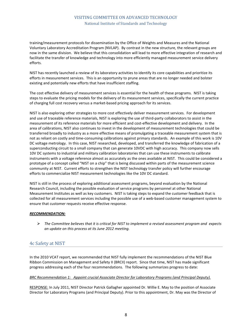training/measurement protocols for dissemination by the Office of Weights and Measures and the National Voluntary Laboratory Accreditation Program (NVLAP). By contrast in the new structure, the relevant groups are now in the same division. We believe that this consolidation will lead to more effective integration of research and facilitate the transfer of knowledge and technology into more efficiently managed measurement service delivery efforts.

NIST has recently launched a review of its laboratory activities to identify its core capabilities and prioritize its efforts in measurement services. This is an opportunity to prune areas that are no longer needed and bolster existing and potentially new efforts that have insufficient staffing.

The cost effective delivery of measurement services is essential for the health of these programs. NIST is taking steps to evaluate the pricing models for the delivery of its measurement services, specifically the current practice of charging full cost recovery versus a market-based pricing approach for its services.

NIST is also exploring other strategies to more cost effectively deliver measurement services. For development and use of traceable reference materials, NIST is exploring the use of third-party collaborators to assist in the measurement of its reference materials for more efficient and cost-effective development and delivery. In the area of calibrations, NIST also continues to invest in the development of measurement technologies that could be transferred broadly to industry as a more effective means of promulgating a traceable measurement system that is not as reliant on costly and time-consuming calibrations against primary standards. An example of this work is 10V DC voltage metrology. In this case, NIST researched, developed, and transferred the knowledge of fabrication of a superconducting circuit to a small company that can generate 10VDC with high accuracy. This company now sells 10V DC systems to industrial and military calibration laboratories that can use these instruments to calibrate instruments with a voltage reference almost as accurately as the ones available at NIST. This could be considered a prototype of a concept called "NIST on a chip" that is being discussed within parts of the measurement science community at NIST. Current efforts to strengthen the NIST technology transfer policy will further encourage efforts to commercialize NIST measurement technologies like the 10V DC standard.

NIST is still in the process of exploring additional assessment programs, beyond evaluation by the National Research Council, including the possible evaluation of service programs by personnel at other National Measurement Institutes as well as key customers. NIST is taking steps to expand the customer feedback that is collected for all measurement services including the possible use of a web-based customer management system to ensure that customer requests receive effective response.

#### *RECOMMENDATION:*

 *The Committee believes that it is critical for NIST to implement a revised assessment program and expects an update on this process at its June 2012 meeting.*

## 4c Safety at NIST

In the 2010 VCAT report, we recommended that NIST fully implement the recommendations of the NIST Blue Ribbon Commission on Management and Safety II (BRCII) report. Since that time, NIST has made significant progress addressing each of the four recommendations. The following summarizes progress to date:

#### *BRC Recommendation 1: Appoint crucial Associate Director for Laboratory Programs (and Principal Deputy).*

RESPONSE: In July 2011, NIST Director Patrick Gallagher appointed Dr. Willie E. May to the position of Associate Director for Laboratory Programs (and Principal Deputy). Prior to this appointment, Dr. May was the Director of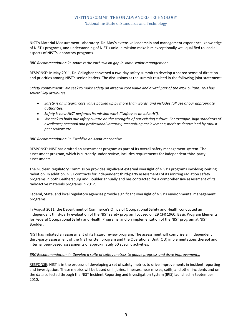NIST's Material Measurement Laboratory. Dr. May's extensive leadership and management experience, knowledge of NIST's programs, and understanding of NIST's unique mission make him exceptionally well qualified to lead all aspects of NIST's laboratory programs.

#### *BRC Recommendation 2: Address the enthusiasm gap in some senior management.*

RESPONSE: In May 2011, Dr. Gallagher convened a two-day safety summit to develop a shared sense of direction and priorities among NIST's senior leaders. The discussions at the summit resulted in the following joint statement:

*Safety commitment: We seek to make safety an integral core value and a vital part of the NIST culture. This has several key attributes:*

- *Safety is an integral core value backed up by more than words, and includes full use of our appropriate authorities.*
- *Safety is how NIST performs its mission work ("safety as an adverb").*
- *We seek to build our safety culture on the strengths of our existing culture. For example, high standards of excellence; personal and professional integrity; recognizing achievement; merit as determined by robust peer review; etc.*

#### *BRC Recommendation 3: Establish an Audit mechanism.*

RESPONSE: NIST has drafted an assessment program as part of its overall safety management system. The assessment program, which is currently under review, includes requirements for independent third-party assessments.

The Nuclear Regulatory Commission provides significant external oversight of NIST's programs involving ionizing radiation. In addition, NIST contracts for independent third-party assessments of its ionizing radiation safety programs in both Gaithersburg and Boulder annually and has contracted for a comprehensive assessment of its radioactive materials programs in 2012.

Federal, State, and local regulatory agencies provide significant oversight of NIST's environmental management programs.

In August 2011, the Department of Commerce's Office of Occupational Safety and Health conducted an independent third-party evaluation of the NIST safety program focused on 29 CFR 1960, Basic Program Elements for Federal Occupational Safety and Health Programs, and on implementation of the NIST program at NIST Boulder.

NIST has initiated an assessment of its hazard review program. The assessment will comprise an independent third-party assessment of the NIST written program and the Operational Unit (OU) implementations thereof and internal peer-based assessments of approximately 50 specific activities.

#### *BRC Recommendation 4: Develop a suite of safety metrics to gauge progress and drive improvements.*

RESPONSE: NIST is in the process of developing a set of safety metrics to drive improvements in incident reporting and investigation. These metrics will be based on injuries, illnesses, near misses, spills, and other incidents and on the data collected through the NIST Incident Reporting and Investigation System (IRIS) launched in September 2010.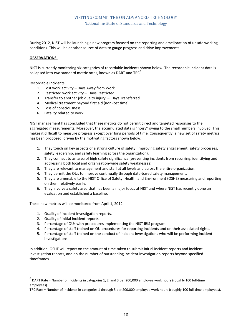During 2012, NIST will be launching a new program focused on the reporting and amelioration of unsafe working conditions. This will be another source of data to gauge progress and drive improvements.

#### **OBSERVATIONS:**

NIST is currently monitoring six categories of recordable incidents shown below. The recordable incident data is collapsed into two standard metric rates, known as DART and TRC $^6$  $^6$ .

Recordable incidents:

- 1. Lost work activity Days Away from Work
- 2. Restricted work activity Days Restricted
- 3. Transfer to another job due to injury Days Transferred
- 4. Medical treatment beyond first aid (non-lost time)
- 5. Loss of consciousness
- 6. Fatality related to work

NIST management has concluded that these metrics do not permit direct and targeted responses to the aggregated measurements. Moreover, the accumulated data is "noisy" owing to the small numbers involved. This makes it difficult to measure progress except over long periods of time. Consequently, a new set of safety metrics has been proposed, driven by the motivating factors shown below:

- 1. They touch on key aspects of a strong culture of safety (improving safety engagement, safety processes, safety leadership, and safety learning across the organization).
- 2. They connect to an area of high safety significance (preventing incidents from recurring, identifying and addressing both local and organization-wide safety weaknesses).
- 3. They are relevant to management and staff at all levels and across the entire organization.
- 4. They permit the OUs to improve continually through data-based safety management.
- 5. They are amenable to the NIST Office of Safety, Health, and Environment (OSHE) measuring and reporting on them relatively easily.
- 6. They involve a safety area that has been a major focus at NIST and where NIST has recently done an evaluation and established a baseline.

These new metrics will be monitored from April 1, 2012:

- 1. Quality of incident investigation reports.
- 2. Quality of initial incident reports.
- 3. Percentage of OUs with procedures implementing the NIST IRIS program.
- 4. Percentage of staff trained on OU procedures for reporting incidents and on their associated rights.
- 5. Percentage of staff trained on the conduct of incident investigations who will be performing incident investigations.

In addition, OSHE will report on the amount of time taken to submit initial incident reports and incident investigation reports, and on the number of outstanding incident investigation reports beyond specified timeframes.

<span id="page-13-0"></span> $^6$  DART Rate = Number of incidents in categories 1, 2, and 3 per 200,000 employee work hours (roughly 100 full-time employees).

TRC Rate = Number of incidents in categories 1 through 5 per 200,000 employee work hours (roughly 100 full-time employees).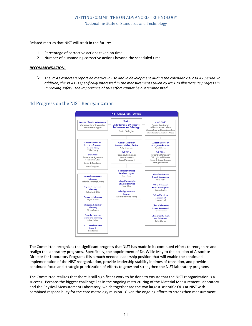Related metrics that NIST will track in the future:

- 1. Percentage of corrective actions taken on time.
- 2. Number of outstanding corrective actions beyond the scheduled time.

#### *RECOMMENDATION:*

 *The VCAT expects a report on metrics in use and in development during the calendar 2012 VCAT period. In addition, the VCAT is specifically interested in the measurements taken by NIST to illustrate its progress in improving safety. The importance of this effort cannot be overemphasized.*

## 4d Progress on the NIST Reorganization



The Committee recognizes the significant progress that NIST has made in its continued efforts to reorganize and realign the laboratory programs. Specifically, the appointment of Dr. Willie May to the position of Associate Director for Laboratory Programs fills a much needed leadership position that will enable the continued implementation of the NIST reorganization, provide leadership stability in times of transition, and provide continued focus and strategic prioritization of efforts to grow and strengthen the NIST laboratory programs*.*

The Committee realizes that there is still significant work to be done to ensure that the NIST reorganization is a success. Perhaps the biggest challenge lies in the ongoing restructuring of the Material Measurement Laboratory and the Physical Measurement Laboratory, which together are the two largest scientific OUs at NIST with combined responsibility for the core metrology mission. Given the ongoing efforts to strengthen measurement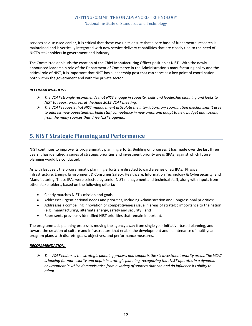services as discussed earlier, it is critical that these two units ensure that a core base of fundamental research is maintained and is vertically integrated with new service delivery capabilities that are closely tied to the need of NIST's stakeholders in government and industry.

The Committee applauds the creation of the Chief Manufacturing Officer position at NIST. With the newly announced leadership role of the Department of Commerce in the Administration's manufacturing policy and the critical role of NIST, it is important that NIST has a leadership post that can serve as a key point of coordination both within the government and with the private sector.

#### *RECOMMENDATIONS:*

- *The VCAT strongly recommends that NIST engage in capacity, skills and leadership planning and looks to NIST to report progress at the June 2012 VCAT meeting.*
- *The VCAT requests that NIST management articulate the inter-laboratory coordination mechanisms it uses to address new opportunities, build staff competency in new areas and adapt to new budget and tasking from the many sources that drive NIST's agenda.*

# **5. NIST Strategic Planning and Performance**

NIST continues to improve its programmatic planning efforts. Building on progress it has made over the last three years it has identified a series of strategic priorities and investment priority areas (IPAs) against which future planning would be conducted.

As with last year, the programmatic planning efforts are directed toward a series of six IPAs: Physical Infrastructure, Energy, Environment & Consumer Safety, Healthcare, Information Technology & Cybersecurity, and Manufacturing. These IPAs were selected by senior NIST management and technical staff, along with inputs from other stakeholders, based on the following criteria:

- Clearly matches NIST's mission and goals;
- Addresses urgent national needs and priorities, including Administration and Congressional priorities;
- Addresses a compelling innovation or competitiveness issue in areas of strategic importance to the nation (e.g., manufacturing, alternate energy, safety and security); and
- Represents previously identified NIST priorities that remain important.

The programmatic planning process is moving the agency away from single year initiative-based planning, and toward the creation of culture and infrastructure that enable the development and maintenance of multi-year program plans with discrete goals, objectives, and performance measures.

#### *RECOMMENDATION:*

 *The VCAT endorses the strategic planning process and supports the six investment priority areas. The VCAT is looking for more clarity and depth in strategic planning, recognizing that NIST operates in a dynamic environment in which demands arise from a variety of sources that can and do influence its ability to adapt.*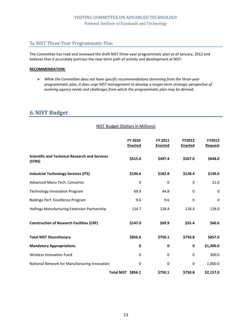# 5a NIST Three-Year Programmatic Plan

The Committee has read and reviewed the draft NIST three-year programmatic plan as of January, 2012 and believes that it accurately portrays the near-term path of activity and development at NIST.

#### **RECOMMENDATION:**

 *While the Committee does not have specific recommendations stemming from the three-year programmatic plan, it does urge NIST management to develop a longer-term strategic perspective of evolving agency needs and challenges from which the programmatic plan may be derived.*

NIST Budget (Dollars in Millions)

# **6.NIST Budget**

| <b>Scientific and Technical Research and Services</b> | FY 2010<br><b>Enacted</b> | FY 2011<br><b>Enacted</b> | FY2012<br><b>Enacted</b> | FY2013<br><b>Request</b> |
|-------------------------------------------------------|---------------------------|---------------------------|--------------------------|--------------------------|
| (STRS)                                                | \$515.0                   | \$497.4                   | \$567.0                  | \$648.0                  |
| <b>Industrial Technology Services (ITS)</b>           | \$194.6                   | \$182.8                   | \$128.4                  | \$149.0                  |
| Advanced Manu Tech. Consortia                         | $\mathbf 0$               | $\mathbf 0$               | $\Omega$                 | 21.0                     |
| <b>Technology Innovation Program</b>                  | 69.9                      | 44.8                      | 0                        | 0                        |
| Baldrige Perf. Excellence Program                     | 9.6                       | 9.6                       | $\Omega$                 | $\Omega$                 |
| Hollings Manufacturing Extension Partnership          | 124.7                     | 128.4                     | 128.4                    | 128.0                    |
| <b>Construction of Research Facilities (CRF)</b>      | \$147.0                   | \$69.9                    | \$55.4                   | \$60.0                   |
| <b>Total NIST Discretionary</b>                       | \$856.6                   | \$750.1                   | \$750.8                  | \$857.0                  |
| <b>Mandatory Appropriations</b>                       | 0                         | 0                         | 0                        | \$1,300.0                |
| Wireless Innovation Fund                              | 0                         | $\Omega$                  | 0                        | 300.0                    |
| National Network for Manufacturing Innovation         | 0                         | 0                         | 0                        | 1,000.0                  |
|                                                       | Total NIST \$856.1        | \$750.1                   | \$750.8                  | \$2,157.0                |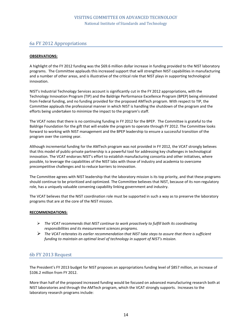### 6a FY 2012 Appropriations

#### **OBSERVATIONS:**

A highlight of the FY 2012 funding was the \$69.6 million dollar increase in funding provided to the NIST laboratory programs. The Committee applauds this increased support that will strengthen NIST capabilities in manufacturing and a number of other areas, and is illustrative of the critical role that NIST plays in supporting technological innovation.

NIST's Industrial Technology Services account is significantly cut in the FY 2012 appropriations, with the Technology Innovation Program (TIP) and the Baldrige Performance Excellence Program (BPEP) being eliminated from Federal funding, and no funding provided for the proposed AMTech program. With respect to TIP, the Committee applauds the professional manner in which NIST is handling the shutdown of the program and the efforts being undertaken to minimize the impact to the program's staff.

The VCAT notes that there is no continuing funding in FY 2012 for the BPEP. The Committee is grateful to the Baldrige Foundation for the gift that will enable the program to operate through FY 2012. The Committee looks forward to working with NIST management and the BPEP leadership to ensure a successful transition of the program over the coming year.

Although incremental funding for the AMTech program was not provided in FY 2012, the VCAT strongly believes that this model of public-private partnership is a powerful tool for addressing key challenges in technological innovation. The VCAT endorses NIST's effort to establish manufacturing consortia and other initiatives, where possible, to leverage the capabilities of the NIST labs with those of industry and academia to overcome precompetitive challenges and to reduce barriers to innovation.

The Committee agrees with NIST leadership that the laboratory mission is its top priority, and that these programs should continue to be prioritized and optimized. The Committee believes that NIST, because of its non-regulatory role, has a uniquely valuable convening capability linking government and industry.

The VCAT believes that the NIST coordination role must be supported in such a way as to preserve the laboratory programs that are at the core of the NIST mission.

#### **RECOMMENDATIONS:**

- *The VCAT recommends that NIST continue to work proactively to fulfill both its coordinating responsibilities and its measurement sciences programs.*
- *The VCAT reiterates its earlier recommendation that NIST take steps to assure that there is sufficient funding to maintain an optimal level of technology in support of NIST's mission.*

## 6b FY 2013 Request

The President's FY 2013 budget for NIST proposes an appropriations funding level of \$857 million, an increase of \$106.2 million from FY 2012.

More than half of the proposed increased funding would be focused on advanced manufacturing research both at NIST laboratories and through the AMTech program, which the VCAT strongly supports. Increases to the laboratory research programs include: